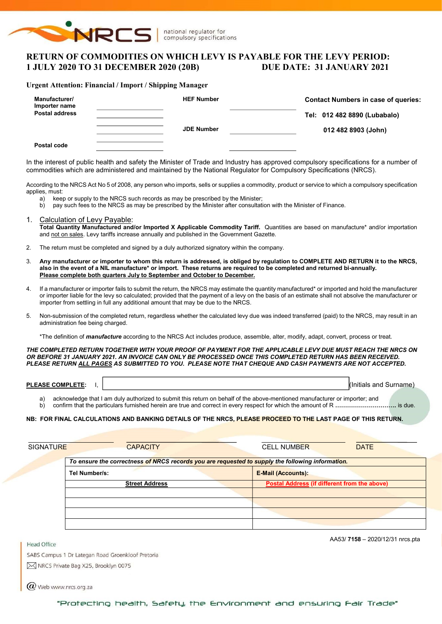

# RETURN OF COMMODITIES ON WHICH LEVY IS PAYABLE FOR THE LEVY PERIOD: 1 JULY 2020 TO 31 DECEMBER 2020 (20B) DUE DATE: 31 JANUARY 2021

#### Urgent Attention: Financial / Import / Shipping Manager

| Manufacturer/<br>Importer name<br><b>Postal address</b> | <b>HEF Number</b> | <b>Contact Numbers in case of queries:</b><br>Tel: 012 482 8890 (Lubabalo) |
|---------------------------------------------------------|-------------------|----------------------------------------------------------------------------|
| Postal code                                             | <b>JDE Number</b> | 012 482 8903 (John)                                                        |

In the interest of public health and safety the Minister of Trade and Industry has approved compulsory specifications for a number of commodities which are administered and maintained by the National Regulator for Compulsory Specifications (NRCS).

According to the NRCS Act No 5 of 2008, any person who imports, sells or supplies a commodity, product or service to which a compulsory specification applies, must:

- a) keep or supply to the NRCS such records as may be prescribed by the Minister;<br>b) pay such fees to the NRCS as may be prescribed by the Minister after consultation
- pay such fees to the NRCS as may be prescribed by the Minister after consultation with the Minister of Finance.
- 1. Calculation of Levy Payable: Total Quantity Manufactured and/or Imported X Applicable Commodity Tariff. Quantities are based on manufacture\* and/or importation and not on sales. Levy tariffs increase annually and published in the Government Gazette.
- 2. The return must be completed and signed by a duly authorized signatory within the company.
- 3. Any manufacturer or importer to whom this return is addressed, is obliged by regulation to COMPLETE AND RETURN it to the NRCS, also in the event of a NIL manufacture\* or import. These returns are required to be completed and returned bi-annually. Please complete both quarters July to September and October to December.
- If a manufacturer or importer fails to submit the return, the NRCS may estimate the quantity manufactured\* or imported and hold the manufacturer or importer liable for the levy so calculated; provided that the payment of a levy on the basis of an estimate shall not absolve the manufacturer or importer from settling in full any additional amount that may be due to the NRCS.
- 5. Non-submission of the completed return, regardless whether the calculated levy due was indeed transferred (paid) to the NRCS, may result in an administration fee being charged.

\*The definition of *manufacture* according to the NRCS Act includes produce, assemble, alter, modify, adapt, convert, process or treat.

THE COMPLETED RETURN TOGETHER WITH YOUR PROOF OF PAYMENT FOR THE APPLICABLE LEVY DUE MUST REACH THE NRCS ON OR BEFORE 31 JANUARY 2021. AN INVOICE CAN ONLY BE PROCESSED ONCE THIS COMPLETED RETURN HAS BEEN RECEIVED. PLEASE RETURN ALL PAGES AS SUBMITTED TO YOU. PLEASE NOTE THAT CHEQUE AND CASH PAYMENTS ARE NOT ACCEPTED.

| <b>COMPLETE.</b><br><b>PLEASE</b> | l(Initials<br>and | Surname |
|-----------------------------------|-------------------|---------|
|                                   |                   |         |

a) acknowledge that I am duly authorized to submit this return on behalf of the above-mentioned manufacturer or importer; and

b) confirm that the particulars furnished herein are true and correct in every respect for which the amount of R ………………………………… is due.

NB: FOR FINAL CALCULATIONS AND BANKING DETAILS OF THE NRCS, PLEASE PROCEED TO THE LAST PAGE OF THIS RETURN.

| <b>SIGNATURE</b> | <b>CAPACITY</b>                                                                                  | <b>CELL NUMBER</b><br><b>DATE</b>            |
|------------------|--------------------------------------------------------------------------------------------------|----------------------------------------------|
|                  | To ensure the correctness of NRCS records you are requested to supply the following information. |                                              |
|                  | Tel Number/s:                                                                                    | <b>E-Mail (Accounts):</b>                    |
|                  | <b>Street Address</b>                                                                            | Postal Address (if different from the above) |
|                  |                                                                                                  |                                              |
|                  |                                                                                                  |                                              |
|                  |                                                                                                  |                                              |
|                  |                                                                                                  |                                              |

AA53/ 7158 – 2020/12/31 nrcs.pta

SABS Campus 1 Dr Lategan Road Groenkloof Pretoria M NRCS Private Bag X25, Brooklyn 0075

 $\Gamma$ 

 $\omega$  Web www.nrcs.org.za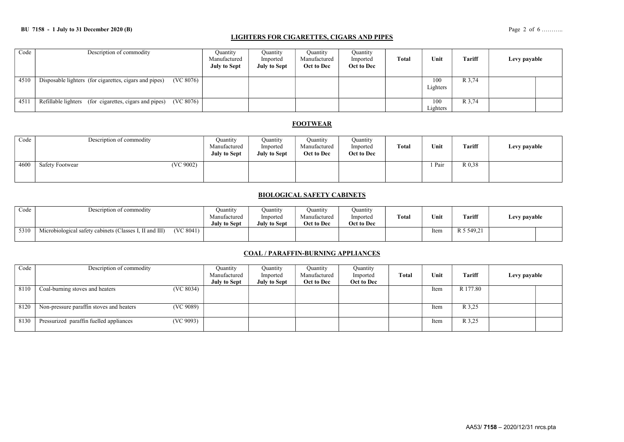## LIGHTERS FOR CIGARETTES, CIGARS AND PIPES

| Code | Description of commodity                                            | Ouantity<br>Manufactured<br><b>July to Sept</b> | Ouantity<br>Imported<br><b>July to Sept</b> | Ouantity<br>Manufactured<br>Oct to Dec | Quantity<br>Imported<br>Oct to Dec | Total | Unit            | <b>Tariff</b> | Levy payable |  |
|------|---------------------------------------------------------------------|-------------------------------------------------|---------------------------------------------|----------------------------------------|------------------------------------|-------|-----------------|---------------|--------------|--|
| 4510 | (VC 8076)<br>Disposable lighters (for cigarettes, cigars and pipes) |                                                 |                                             |                                        |                                    |       | 100<br>Lighters | R 3,74        |              |  |
| 451  | (VC 8076)<br>Refillable lighters (for cigarettes, cigars and pipes) |                                                 |                                             |                                        |                                    |       | 100<br>Lighters | R 3,74        |              |  |

## **FOOTWEAR**

| Code | Description of commodity            | Ouantity<br>Manufactured<br><b>July to Sept</b> | Quantity<br>Imported<br><b>July to Sept</b> | <b>Quantity</b><br>Manufactured<br>Oct to Dec | Quantity<br>Imported<br>Oct to Dec | <b>Total</b> | Unit   | Tariff | Levy payable |
|------|-------------------------------------|-------------------------------------------------|---------------------------------------------|-----------------------------------------------|------------------------------------|--------------|--------|--------|--------------|
| 4600 | (VC 9002)<br><b>Safety Footwear</b> |                                                 |                                             |                                               |                                    |              | 1 Pair | R 0.38 |              |

### BIOLOGICAL SAFETY CABINETS

| Code | Description of commodity                                             | Juantity<br>Manufactured<br>July to Sept | Ouantitv<br>Imported<br>July to Sept | Ouantıtv<br>Manufactured<br>Oct to Dec | Ouantity<br>Imported<br>Oct to Dec | <b>Total</b> | Unit | Tariff     | Levy payable |  |
|------|----------------------------------------------------------------------|------------------------------------------|--------------------------------------|----------------------------------------|------------------------------------|--------------|------|------------|--------------|--|
| 5310 | (VC 8041)<br>Microbiological safety cabinets (Classes I, II and III) |                                          |                                      |                                        |                                    |              | Item | R 5 549.21 |              |  |

## COAL / PARAFFIN-BURNING APPLIANCES

| Code | Description of commodity                              | Quantity                            | Ouantity                        | Quantity                   | Quantity               |       |      |          |              |  |
|------|-------------------------------------------------------|-------------------------------------|---------------------------------|----------------------------|------------------------|-------|------|----------|--------------|--|
|      |                                                       | Manufactured<br><b>July to Sept</b> | Imported<br><b>July to Sept</b> | Manufactured<br>Oct to Dec | Imported<br>Oct to Dec | Total | Unit | Tariff   | Levy payable |  |
| 8110 | (VC 8034)<br>Coal-burning stoves and heaters          |                                     |                                 |                            |                        |       | Item | R 177.80 |              |  |
|      |                                                       |                                     |                                 |                            |                        |       |      |          |              |  |
| 8120 | (VC 9089)<br>Non-pressure paraffin stoves and heaters |                                     |                                 |                            |                        |       | Item | R 3,25   |              |  |
| 8130 | Pressurized paraffin fuelled appliances<br>(VC 9093)  |                                     |                                 |                            |                        |       | Item | R 3,25   |              |  |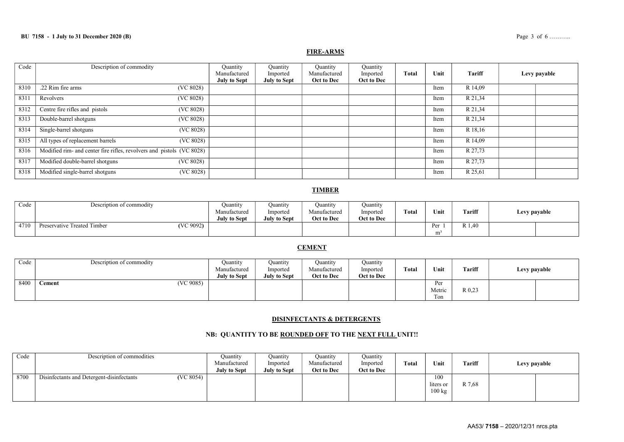## FIRE-ARMS

| Code | Description of commodity                                              | Quantity<br>Manufactured<br><b>July to Sept</b> | Ouantity<br>Imported<br><b>July to Sept</b> | Quantity<br>Manufactured<br>Oct to Dec | Quantity<br>Imported<br>Oct to Dec | <b>Total</b> | Unit | Tariff  | Levy payable |
|------|-----------------------------------------------------------------------|-------------------------------------------------|---------------------------------------------|----------------------------------------|------------------------------------|--------------|------|---------|--------------|
| 8310 | .22 Rim fire arms<br>(VC 8028)                                        |                                                 |                                             |                                        |                                    |              | Item | R 14,09 |              |
| 8311 | (VC 8028)<br>Revolvers                                                |                                                 |                                             |                                        |                                    |              | Item | R 21,34 |              |
| 8312 | Centre fire rifles and pistols<br>(VC 8028)                           |                                                 |                                             |                                        |                                    |              | Item | R 21,34 |              |
| 8313 | Double-barrel shotguns<br>(VC 8028)                                   |                                                 |                                             |                                        |                                    |              | Item | R 21,34 |              |
| 8314 | Single-barrel shotguns<br>(VC 8028)                                   |                                                 |                                             |                                        |                                    |              | Item | R 18,16 |              |
| 8315 | All types of replacement barrels<br>(VC 8028)                         |                                                 |                                             |                                        |                                    |              | Item | R 14,09 |              |
| 8316 | Modified rim- and center fire rifles, revolvers and pistols (VC 8028) |                                                 |                                             |                                        |                                    |              | Item | R 27,73 |              |
| 8317 | Modified double-barrel shotguns<br>(VC 8028)                          |                                                 |                                             |                                        |                                    |              | Item | R 27,73 |              |
| 8318 | Modified single-barrel shotguns<br>(VC 8028)                          |                                                 |                                             |                                        |                                    |              | Item | R 25,61 |              |

## **TIMBER**

| Code | Description of commodity                 | Ouantity<br>Manufactured<br><b>July to Sept</b> | Ouantity<br>Imported<br><b>July to Sept</b> | Ouantity<br>Manufactured<br>Oct to Dec | Quantity<br>Imported<br>Oct to Dec | Total | Unit             | Tariff | Levy payable |
|------|------------------------------------------|-------------------------------------------------|---------------------------------------------|----------------------------------------|------------------------------------|-------|------------------|--------|--------------|
| 4710 | (VC 9092)<br>Preservative Treated Timber |                                                 |                                             |                                        |                                    |       | <b>Dar</b><br>mª | 14. LA |              |

## **CEMENT**

| Code | Description of commodity | Ouantity            | Ouantity            | Ouantity     | Quantity   |       |        |               |              |
|------|--------------------------|---------------------|---------------------|--------------|------------|-------|--------|---------------|--------------|
|      |                          | Manufactured        | Imported            | Manufactured | Imported   | Total | Unit   | <b>Tariff</b> | Levy payable |
|      |                          | <b>July to Sept</b> | <b>July to Sept</b> | Oct to Dec   | Oct to Dec |       |        |               |              |
| 8400 | (VC 9085)<br>Cement      |                     |                     |              |            |       | Per    |               |              |
|      |                          |                     |                     |              |            |       | Metric | R 0.23        |              |
|      |                          |                     |                     |              |            |       | Ton    |               |              |

#### DISINFECTANTS & DETERGENTS

### NB: QUANTITY TO BE ROUNDED OFF TO THE NEXT FULL UNIT!!

| Code | Description of commodities                |           | Quantity<br>Manufactured | Quantity<br>Imported | Ouantity<br>Manufactured | Ouantity<br>Imported | <b>Total</b> | Unit                                 | <b>Tariff</b> | Levy payable |  |
|------|-------------------------------------------|-----------|--------------------------|----------------------|--------------------------|----------------------|--------------|--------------------------------------|---------------|--------------|--|
|      |                                           |           | <b>July to Sept</b>      | <b>July to Sept</b>  | Oct to Dec               | Oct to Dec           |              |                                      |               |              |  |
| 8700 | Disinfectants and Detergent-disinfectants | (VC 8054) |                          |                      |                          |                      |              | 100<br>liters or<br>$100 \text{ kg}$ | R 7,68        |              |  |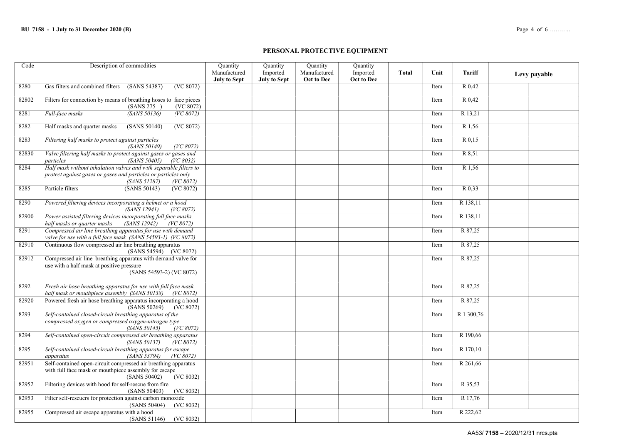#### PERSONAL PROTECTIVE EQUIPMENT

| Code  | Description of commodities                                                                                                                                       | <b>Quantity</b>                     | <b>Quantity</b>                 | Quantity                   | <b>Quantity</b>        |              |      |               |              |
|-------|------------------------------------------------------------------------------------------------------------------------------------------------------------------|-------------------------------------|---------------------------------|----------------------------|------------------------|--------------|------|---------------|--------------|
|       |                                                                                                                                                                  | Manufactured<br><b>July to Sept</b> | Imported<br><b>July to Sept</b> | Manufactured<br>Oct to Dec | Imported<br>Oct to Dec | <b>Total</b> | Unit | <b>Tariff</b> | Levy payable |
| 8280  | Gas filters and combined filters<br>(SANS 54387)<br>(VC 8072)                                                                                                    |                                     |                                 |                            |                        |              | Item | R 0.42        |              |
| 82802 | Filters for connection by means of breathing hoses to face pieces<br>(VC 8072)<br>(SANS 275)                                                                     |                                     |                                 |                            |                        |              | Item | R 0.42        |              |
| 8281  | Full-face masks<br>(SANS 50136)<br>$\overline{(VC 8072)}$                                                                                                        |                                     |                                 |                            |                        |              | Item | R 13,21       |              |
| 8282  | Half masks and quarter masks<br>(SANS 50140)<br>(VC 8072)                                                                                                        |                                     |                                 |                            |                        |              | Item | R 1,56        |              |
| 8283  | Filtering half masks to protect against particles<br>(SANS 50149)<br>(VC 8072)                                                                                   |                                     |                                 |                            |                        |              | Item | R 0,15        |              |
| 82830 | Valve filtering half masks to protect against gases or gases and<br>(SANS 50405)<br>particles<br>(VC 8032)                                                       |                                     |                                 |                            |                        |              | Item | R 8,51        |              |
| 8284  | Half mask without inhalation valves and with separable filters to<br>protect against gases or gases and particles or particles only<br>(SANS 51287)<br>(VC 8072) |                                     |                                 |                            |                        |              | Item | R 1,56        |              |
| 8285  | Particle filters<br>(SANS 50143)<br>(VC 8072)                                                                                                                    |                                     |                                 |                            |                        |              | Item | R 0.33        |              |
| 8290  | Powered filtering devices incorporating a helmet or a hood<br>(SANS 12941)<br>(VC 8072)                                                                          |                                     |                                 |                            |                        |              | Item | R 138,11      |              |
| 82900 | Power assisted filtering devices incorporating full face masks,<br>half masks or quarter masks<br><i>(SANS 12942)</i><br>(VC 8072)                               |                                     |                                 |                            |                        |              | Item | R 138,11      |              |
| 8291  | Compressed air line breathing apparatus for use with demand<br>valve for use with a full face mask (SANS 54593-1) (VC 8072)                                      |                                     |                                 |                            |                        |              | Item | R 87,25       |              |
| 82910 | Continuous flow compressed air line breathing apparatus<br>$(SANS 54594)$ (VC 8072)                                                                              |                                     |                                 |                            |                        |              | Item | R 87,25       |              |
| 82912 | Compressed air line breathing apparatus with demand valve for<br>use with a half mask at positive pressure<br>(SANS 54593-2) (VC 8072)                           |                                     |                                 |                            |                        |              | Item | R 87,25       |              |
| 8292  | Fresh air hose breathing apparatus for use with full face mask,<br>half mask or mouthpiece assembly (SANS 50138) (VC 8072)                                       |                                     |                                 |                            |                        |              | Item | R 87,25       |              |
| 82920 | Powered fresh air hose breathing apparatus incorporating a hood<br>(SANS 50269)<br>(VC 8072)                                                                     |                                     |                                 |                            |                        |              | Item | R 87,25       |              |
| 8293  | Self-contained closed-circuit breathing apparatus of the<br>compressed oxygen or compressed oxygen-nitrogen type<br>(SANS 50145)<br>(VC 8072)                    |                                     |                                 |                            |                        |              | Item | R 1 300,76    |              |
| 8294  | Self-contained open-circuit compressed air breathing apparatus<br>(SANS 50137)<br>(VC 8072)                                                                      |                                     |                                 |                            |                        |              | Item | R 190,66      |              |
| 8295  | Self-contained closed-circuit breathing apparatus for escape<br>(SANS 53794)<br>(VC 8072)<br>apparatus                                                           |                                     |                                 |                            |                        |              | Item | R 170,10      |              |
| 82951 | Self-contained open-circuit compressed air breathing apparatus<br>with full face mask or mouthpiece assembly for escape<br>(VC 8032)<br>(SANS 50402)             |                                     |                                 |                            |                        |              | Item | R 261,66      |              |
| 82952 | Filtering devices with hood for self-rescue from fire<br>(SANS 50403)<br>(VC 8032)                                                                               |                                     |                                 |                            |                        |              | Item | R 35,53       |              |
| 82953 | Filter self-rescuers for protection against carbon monoxide<br>(SANS 50404)<br>(VC 8032)                                                                         |                                     |                                 |                            |                        |              | Item | R 17,76       |              |
| 82955 | Compressed air escape apparatus with a hood<br>(SANS 51146)<br>(VC 8032)                                                                                         |                                     |                                 |                            |                        |              | Item | R 222,62      |              |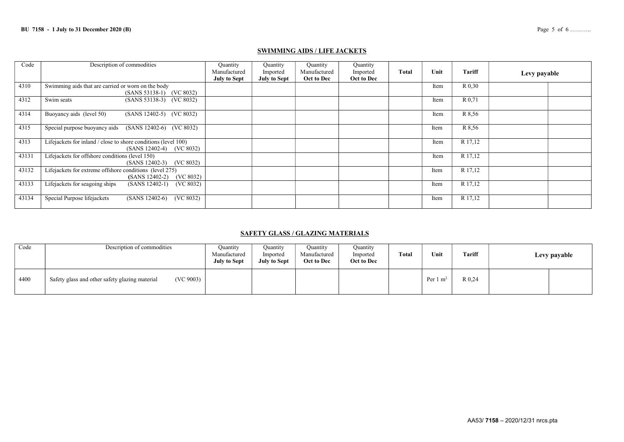### SWIMMING AIDS / LIFE JACKETS

| Code  | Description of commodities                                                                 | Quantity<br>Manufactured<br><b>July to Sept</b> | Quantity<br>Imported<br><b>July to Sept</b> | Quantity<br>Manufactured<br>Oct to Dec | Quantity<br>Imported<br>Oct to Dec | <b>Total</b> | Unit | <b>Tariff</b> | Levy payable |
|-------|--------------------------------------------------------------------------------------------|-------------------------------------------------|---------------------------------------------|----------------------------------------|------------------------------------|--------------|------|---------------|--------------|
| 4310  | Swimming aids that are carried or worn on the body<br>(SANS 53138-1) (VC 8032)             |                                                 |                                             |                                        |                                    |              | Item | R 0.30        |              |
| 4312  | (SANS 53138-3) (VC 8032)<br>Swim seats                                                     |                                                 |                                             |                                        |                                    |              | Item | R 0.71        |              |
| 4314  | Buoyancy aids (level 50)<br>(SANS 12402-5) (VC 8032)                                       |                                                 |                                             |                                        |                                    |              | Item | R 8.56        |              |
| 4315  | Special purpose buoyancy aids<br>(SANS 12402-6) (VC 8032)                                  |                                                 |                                             |                                        |                                    |              | Item | R 8.56        |              |
| 4313  | Lifejackets for inland / close to shore conditions (level 100)<br>(SANS 12402-4) (VC 8032) |                                                 |                                             |                                        |                                    |              | Item | R 17,12       |              |
| 43131 | Lifejackets for offshore conditions (level 150)<br>$(SANS 12402-3)$ $(VC 8032)$            |                                                 |                                             |                                        |                                    |              | Item | R 17,12       |              |
| 43132 | Lifejackets for extreme offshore conditions (level 275)<br>$(SANS 12402-2)$<br>(VC 8032)   |                                                 |                                             |                                        |                                    |              | Item | R 17,12       |              |
| 43133 | Lifejackets for seagoing ships<br>$(SANS 12402-1)$<br>(VC 8032)                            |                                                 |                                             |                                        |                                    |              | Item | R 17,12       |              |
| 43134 | Special Purpose lifejackets<br>$(SANS 12402-6)$<br>(VC 8032)                               |                                                 |                                             |                                        |                                    |              | Item | R 17,12       |              |

### SAFETY GLASS / GLAZING MATERIALS

| Code | Description of commodities                                  | Ouantity<br>Manufactured<br>July to Sept | Ouantity<br>Imported<br><b>July to Sept</b> | Quantity<br>Manufactured<br>Oct to Dec | Ouantity<br>Imported<br>Oct to Dec | <b>Total</b> | Unit                | Tariff | Levy payable |
|------|-------------------------------------------------------------|------------------------------------------|---------------------------------------------|----------------------------------------|------------------------------------|--------------|---------------------|--------|--------------|
| 4400 | (VC 9003)<br>Safety glass and other safety glazing material |                                          |                                             |                                        |                                    |              | Per $1 \text{ m}^2$ | R 0,24 |              |